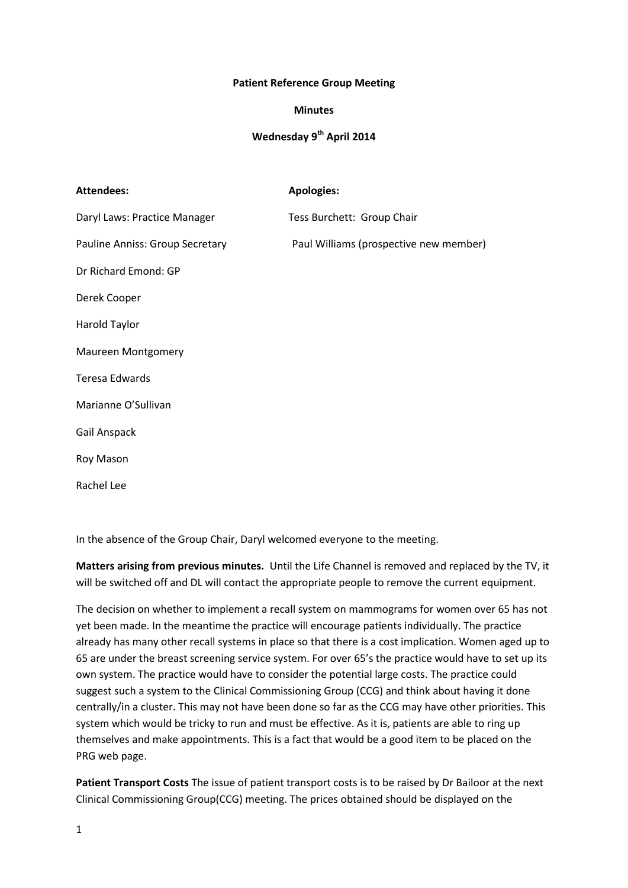## **Patient Reference Group Meeting**

## **Minutes**

## **Wednesday 9th April 2014**

| <b>Attendees:</b>               | <b>Apologies:</b>                      |
|---------------------------------|----------------------------------------|
| Daryl Laws: Practice Manager    | Tess Burchett: Group Chair             |
| Pauline Anniss: Group Secretary | Paul Williams (prospective new member) |
| Dr Richard Emond: GP            |                                        |
| Derek Cooper                    |                                        |
| Harold Taylor                   |                                        |
| <b>Maureen Montgomery</b>       |                                        |
| <b>Teresa Edwards</b>           |                                        |
| Marianne O'Sullivan             |                                        |
| Gail Anspack                    |                                        |
| Roy Mason                       |                                        |
| <b>Rachellee</b>                |                                        |

In the absence of the Group Chair, Daryl welcomed everyone to the meeting.

**Matters arising from previous minutes.** Until the Life Channel is removed and replaced by the TV, it will be switched off and DL will contact the appropriate people to remove the current equipment.

The decision on whether to implement a recall system on mammograms for women over 65 has not yet been made. In the meantime the practice will encourage patients individually. The practice already has many other recall systems in place so that there is a cost implication. Women aged up to 65 are under the breast screening service system. For over 65's the practice would have to set up its own system. The practice would have to consider the potential large costs. The practice could suggest such a system to the Clinical Commissioning Group (CCG) and think about having it done centrally/in a cluster. This may not have been done so far as the CCG may have other priorities. This system which would be tricky to run and must be effective. As it is, patients are able to ring up themselves and make appointments. This is a fact that would be a good item to be placed on the PRG web page.

**Patient Transport Costs** The issue of patient transport costs is to be raised by Dr Bailoor at the next Clinical Commissioning Group(CCG) meeting. The prices obtained should be displayed on the